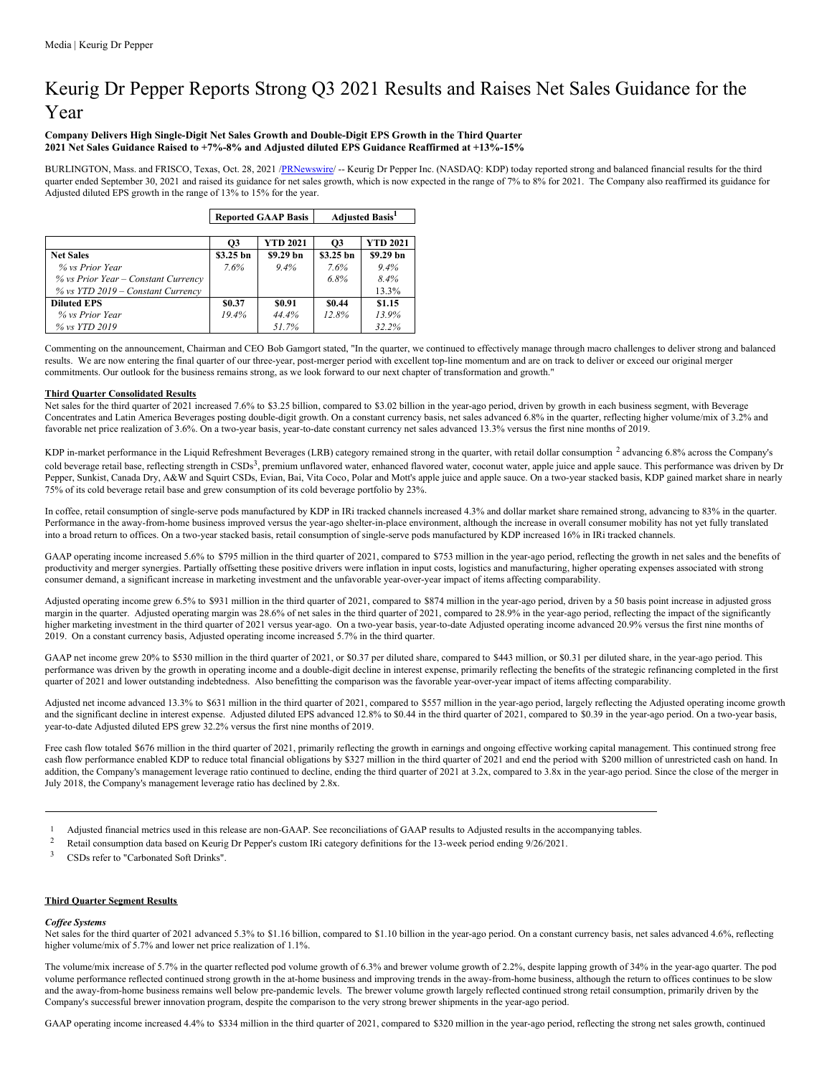# Keurig Dr Pepper Reports Strong Q3 2021 Results and Raises Net Sales Guidance for the Year

# **Company Delivers High Single-Digit Net Sales Growth and Double-Digit EPS Growth in the Third Quarter 2021 Net Sales Guidance Raised to +7%-8% and Adjusted diluted EPS Guidance Reaffirmed at +13%-15%**

BURLINGTON, Mass. and FRISCO, Texas, Oct. 28, 2021 [/PRNewswire](http://www.prnewswire.com/)/ -- Keurig Dr Pepper Inc. (NASDAQ: KDP) today reported strong and balanced financial results for the third quarter ended September 30, 2021 and raised its guidance for net sales growth, which is now expected in the range of 7% to 8% for 2021. The Company also reaffirmed its guidance for Adjusted diluted EPS growth in the range of 13% to 15% for the year.

|              |                 | <b>Adjusted Basis</b> <sup>1</sup> |                 |  |  |
|--------------|-----------------|------------------------------------|-----------------|--|--|
|              |                 |                                    |                 |  |  |
| <b>O3</b>    | <b>YTD 2021</b> | <b>O3</b>                          | <b>YTD 2021</b> |  |  |
| \$3.25 bn    | \$9.29 bn       | \$3.25 bn                          | \$9.29 bn       |  |  |
| 7.6%         | $9.4\%$         | 7.6%                               | $9.4\%$         |  |  |
|              |                 | 6.8%                               | $8.4\%$         |  |  |
|              |                 |                                    | 13.3%           |  |  |
| <b>S0.37</b> | \$0.91          | \$0.44                             | \$1.15          |  |  |
| 19.4%        | 44.4%           | 12.8%                              | 13.9%           |  |  |
|              | 51.7%           |                                    | 32.2%           |  |  |
|              |                 | <b>Reported GAAP Basis</b>         |                 |  |  |

Commenting on the announcement, Chairman and CEO Bob Gamgort stated, "In the quarter, we continued to effectively manage through macro challenges to deliver strong and balanced results. We are now entering the final quarter of our three-year, post-merger period with excellent top-line momentum and are on track to deliver or exceed our original merger commitments. Our outlook for the business remains strong, as we look forward to our next chapter of transformation and growth."

# **Third Quarter Consolidated Results**

Net sales for the third quarter of 2021 increased 7.6% to \$3.25 billion, compared to \$3.02 billion in the year-ago period, driven by growth in each business segment, with Beverage Concentrates and Latin America Beverages posting double-digit growth. On a constant currency basis, net sales advanced 6.8% in the quarter, reflecting higher volume/mix of 3.2% and favorable net price realization of 3.6%. On a two-year basis, year-to-date constant currency net sales advanced 13.3% versus the first nine months of 2019.

KDP in-market performance in the Liquid Refreshment Beverages (LRB) category remained strong in the quarter, with retail dollar consumption <sup>2</sup> advancing 6.8% across the Company's cold beverage retail base, reflecting strength in CSDs<sup>3</sup>, premium unflavored water, enhanced flavored water, coconut water, apple juice and apple sauce. This performance was driven by Dr Pepper, Sunkist, Canada Dry, A&W and Squirt CSDs, Evian, Bai, Vita Coco, Polar and Mott's apple juice and apple sauce. On a two-year stacked basis, KDP gained market share in nearly 75% of its cold beverage retail base and grew consumption of its cold beverage portfolio by 23%.

In coffee, retail consumption of single-serve pods manufactured by KDP in IRi tracked channels increased 4.3% and dollar market share remained strong, advancing to 83% in the quarter. Performance in the away-from-home business improved versus the year-ago shelter-in-place environment, although the increase in overall consumer mobility has not yet fully translated into a broad return to offices. On a two-year stacked basis, retail consumption of single-serve pods manufactured by KDP increased 16% in IRi tracked channels.

GAAP operating income increased 5.6% to \$795 million in the third quarter of 2021, compared to \$753 million in the year-ago period, reflecting the growth in net sales and the benefits of productivity and merger synergies. Partially offsetting these positive drivers were inflation in input costs, logistics and manufacturing, higher operating expenses associated with strong consumer demand, a significant increase in marketing investment and the unfavorable year-over-year impact of items affecting comparability.

Adjusted operating income grew 6.5% to \$931 million in the third quarter of 2021, compared to \$874 million in the year-ago period, driven by a 50 basis point increase in adjusted gross margin in the quarter. Adjusted operating margin was 28.6% of net sales in the third quarter of 2021, compared to 28.9% in the year-ago period, reflecting the impact of the significantly higher marketing investment in the third quarter of 2021 versus year-ago. On a two-year basis, year-to-date Adjusted operating income advanced 20.9% versus the first nine months of 2019. On a constant currency basis, Adjusted operating income increased 5.7% in the third quarter.

GAAP net income grew 20% to \$530 million in the third quarter of 2021, or \$0.37 per diluted share, compared to \$443 million, or \$0.31 per diluted share, in the year-ago period. This performance was driven by the growth in operating income and a double-digit decline in interest expense, primarily reflecting the benefits of the strategic refinancing completed in the first quarter of 2021 and lower outstanding indebtedness. Also benefitting the comparison was the favorable year-over-year impact of items affecting comparability.

Adjusted net income advanced 13.3% to \$631 million in the third quarter of 2021, compared to \$557 million in the year-ago period, largely reflecting the Adjusted operating income growth and the significant decline in interest expense. Adjusted diluted EPS advanced 12.8% to \$0.44 in the third quarter of 2021, compared to \$0.39 in the year-ago period. On a two-year basis, year-to-date Adjusted diluted EPS grew 32.2% versus the first nine months of 2019.

Free cash flow totaled \$676 million in the third quarter of 2021, primarily reflecting the growth in earnings and ongoing effective working capital management. This continued strong free cash flow performance enabled KDP to reduce total financial obligations by \$327 million in the third quarter of 2021 and end the period with \$200 million of unrestricted cash on hand. In addition, the Company's management leverage ratio continued to decline, ending the third quarter of 2021 at 3.2x, compared to 3.8x in the year-ago period. Since the close of the merger in July 2018, the Company's management leverage ratio has declined by 2.8x.

- 1 Adjusted financial metrics used in this release are non-GAAP. See reconciliations of GAAP results to Adjusted results in the accompanying tables.
- <sup>2</sup> Retail consumption data based on Keurig Dr Pepper's custom IRi category definitions for the 13-week period ending 9/26/2021.
- <sup>3</sup> CSDs refer to "Carbonated Soft Drinks".

# **Third Quarter Segment Results**

# *Cof ee Systems*

Net sales for the third quarter of 2021 advanced 5.3% to \$1.16 billion, compared to \$1.10 billion in the year-ago period. On a constant currency basis, net sales advanced 4.6%, reflecting higher volume/mix of 5.7% and lower net price realization of 1.1%.

The volume/mix increase of 5.7% in the quarter reflected pod volume growth of 6.3% and brewer volume growth of 2.2%, despite lapping growth of 34% in the year-ago quarter. The pod volume performance reflected continued strong growth in the at-home business and improving trends in the away-from-home business, although the return to offices continues to be slow and the away-from-home business remains well below pre-pandemic levels. The brewer volume growth largely reflected continued strong retail consumption, primarily driven by the Company's successful brewer innovation program, despite the comparison to the very strong brewer shipments in the year-ago period.

GAAP operating income increased 4.4% to \$334 million in the third quarter of 2021, compared to \$320 million in the year-ago period, reflecting the strong net sales growth, continued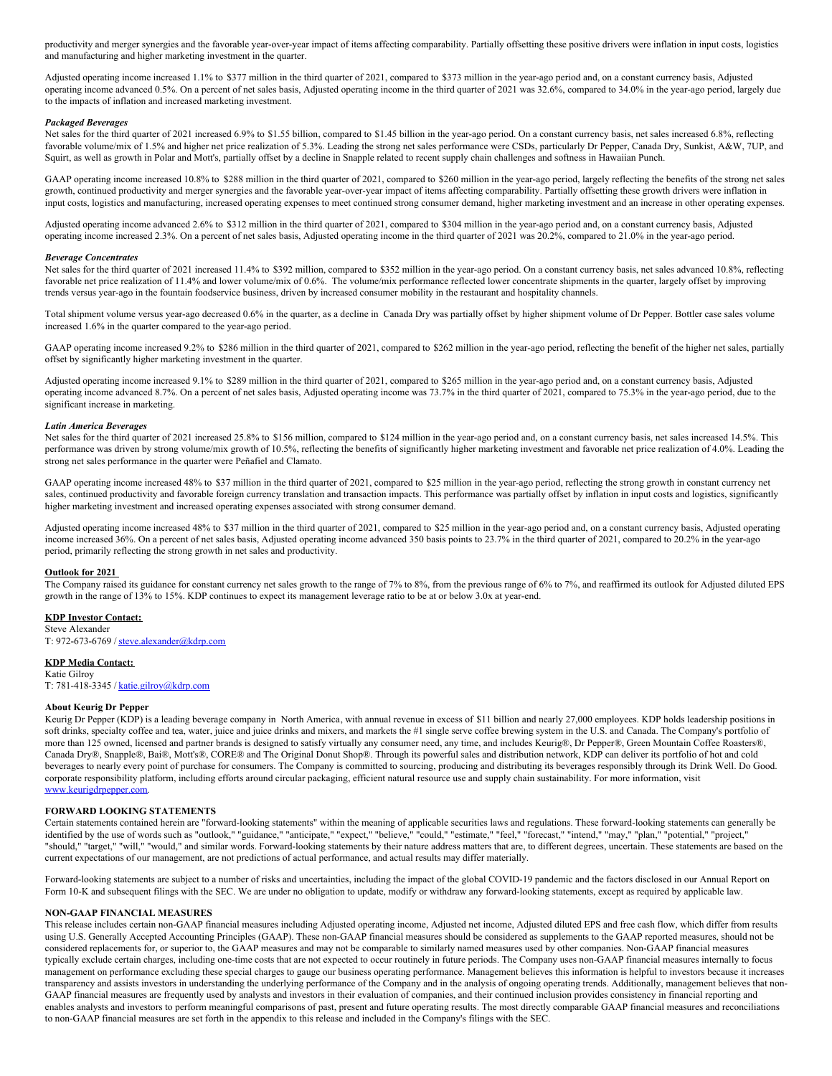productivity and merger synergies and the favorable year-over-year impact of items affecting comparability. Partially offsetting these positive drivers were inflation in input costs, logistics and manufacturing and higher marketing investment in the quarter.

Adjusted operating income increased 1.1% to \$377 million in the third quarter of 2021, compared to \$373 million in the year-ago period and, on a constant currency basis, Adjusted operating income advanced 0.5%. On a percent of net sales basis, Adjusted operating income in the third quarter of 2021 was 32.6%, compared to 34.0% in the year-ago period, largely due to the impacts of inflation and increased marketing investment.

#### *Packaged Beverages*

Net sales for the third quarter of 2021 increased 6.9% to \$1.55 billion, compared to \$1.45 billion in the year-ago period. On a constant currency basis, net sales increased 6.8%, reflecting favorable volume/mix of 1.5% and higher net price realization of 5.3%. Leading the strong net sales performance were CSDs, particularly Dr Pepper, Canada Dry, Sunkist, A&W, 7UP, and Squirt, as well as growth in Polar and Mott's, partially offset by a decline in Snapple related to recent supply chain challenges and softness in Hawaiian Punch.

GAAP operating income increased 10.8% to \$288 million in the third quarter of 2021, compared to \$260 million in the year-ago period, largely reflecting the benefits of the strong net sales growth, continued productivity and merger synergies and the favorable year-over-year impact of items affecting comparability. Partially offsetting these growth drivers were inflation in input costs, logistics and manufacturing, increased operating expenses to meet continued strong consumer demand, higher marketing investment and an increase in other operating expenses.

Adjusted operating income advanced 2.6% to \$312 million in the third quarter of 2021, compared to \$304 million in the year-ago period and, on a constant currency basis, Adjusted operating income increased 2.3%. On a percent of net sales basis, Adjusted operating income in the third quarter of 2021 was 20.2%, compared to 21.0% in the year-ago period.

#### *Beverage Concentrates*

Net sales for the third quarter of 2021 increased 11.4% to \$392 million, compared to \$352 million in the year-ago period. On a constant currency basis, net sales advanced 10.8%, reflecting favorable net price realization of 11.4% and lower volume/mix of 0.6%. The volume/mix performance reflected lower concentrate shipments in the quarter, largely offset by improving trends versus year-ago in the fountain foodservice business, driven by increased consumer mobility in the restaurant and hospitality channels.

Total shipment volume versus year-ago decreased 0.6% in the quarter, as a decline in Canada Dry was partially offset by higher shipment volume of Dr Pepper. Bottler case sales volume increased 1.6% in the quarter compared to the year-ago period.

GAAP operating income increased 9.2% to \$286 million in the third quarter of 2021, compared to \$262 million in the year-ago period, reflecting the benefit of the higher net sales, partially offset by significantly higher marketing investment in the quarter.

Adjusted operating income increased 9.1% to \$289 million in the third quarter of 2021, compared to \$265 million in the year-ago period and, on a constant currency basis, Adjusted operating income advanced 8.7%. On a percent of net sales basis, Adjusted operating income was 73.7% in the third quarter of 2021, compared to 75.3% in the year-ago period, due to the significant increase in marketing.

#### *Latin America Beverages*

Net sales for the third quarter of 2021 increased 25.8% to \$156 million, compared to \$124 million in the year-ago period and, on a constant currency basis, net sales increased 14.5%. This performance was driven by strong volume/mix growth of 10.5%, reflecting the benefits of significantly higher marketing investment and favorable net price realization of 4.0%. Leading the strong net sales performance in the quarter were Peñafiel and Clamato.

GAAP operating income increased 48% to \$37 million in the third quarter of 2021, compared to \$25 million in the year-ago period, reflecting the strong growth in constant currency net sales, continued productivity and favorable foreign currency translation and transaction impacts. This performance was partially offset by inflation in input costs and logistics, significantly higher marketing investment and increased operating expenses associated with strong consumer demand.

Adjusted operating income increased 48% to \$37 million in the third quarter of 2021, compared to \$25 million in the year-ago period and, on a constant currency basis, Adjusted operating income increased 36%. On a percent of net sales basis, Adjusted operating income advanced 350 basis points to 23.7% in the third quarter of 2021, compared to 20.2% in the year-ago period, primarily reflecting the strong growth in net sales and productivity.

#### **Outlook for 2021**

The Company raised its guidance for constant currency net sales growth to the range of 7% to 8%, from the previous range of 6% to 7%, and reaffirmed its outlook for Adjusted diluted EPS growth in the range of 13% to 15%. KDP continues to expect its management leverage ratio to be at or below 3.0x at year-end.

# **KDP Investor Contact:**

Steve Alexander T: 972-673-6769 / [steve.alexander@kdrp.com](mailto:steve.alexander@kdrp.com)

#### **KDP Media Contact:**

Katie Gilroy T: 781-418-3345 / [katie.gilroy@kdrp.com](mailto:katie.gilroy@kdrp.com)

#### **About Keurig Dr Pepper**

Keurig Dr Pepper (KDP) is a leading beverage company in North America, with annual revenue in excess of \$11 billion and nearly 27,000 employees. KDP holds leadership positions in soft drinks, specialty coffee and tea, water, juice and juice drinks and mixers, and markets the #1 single serve coffee brewing system in the U.S. and Canada. The Company's portfolio of more than 125 owned, licensed and partner brands is designed to satisfy virtually any consumer need, any time, and includes Keurig®, Dr Pepper®, Green Mountain Coffee Roasters®, Canada Dry®, Snapple®, Bai®, Mott's®, CORE® and The Original Donut Shop®. Through its powerful sales and distribution network, KDP can deliver its portfolio of hot and cold beverages to nearly every point of purchase for consumers. The Company is committed to sourcing, producing and distributing its beverages responsibly through its Drink Well. Do Good. corporate responsibility platform, including efforts around circular packaging, efficient natural resource use and supply chain sustainability. For more information, visit [www.keurigdrpepper.com](https://c212.net/c/link/?t=0&l=en&o=3334737-1&h=720328509&u=http%3A%2F%2Fwww.keurigdrpepper.com%2F&a=www.keurigdrpepper.com).

#### **FORWARD LOOKING STATEMENTS**

Certain statements contained herein are "forward-looking statements" within the meaning of applicable securities laws and regulations. These forward-looking statements can generally be identified by the use of words such as "outlook," "guidance," "anticipate," "expect," "believe," "could," "estimate," "feel," "forecast," "intend," "may," "plan," "potential," "project," "should," "target," "will," "would," and similar words. Forward-looking statements by their nature address matters that are, to different degrees, uncertain. These statements are based on the current expectations of our management, are not predictions of actual performance, and actual results may differ materially.

Forward-looking statements are subject to a number of risks and uncertainties, including the impact of the global COVID-19 pandemic and the factors disclosed in our Annual Report on Form 10-K and subsequent filings with the SEC. We are under no obligation to update, modify or withdraw any forward-looking statements, except as required by applicable law.

#### **NON-GAAP FINANCIAL MEASURES**

This release includes certain non-GAAP financial measures including Adjusted operating income, Adjusted net income, Adjusted diluted EPS and free cash flow, which differ from results using U.S. Generally Accepted Accounting Principles (GAAP). These non-GAAP financial measures should be considered as supplements to the GAAP reported measures, should not be considered replacements for, or superior to, the GAAP measures and may not be comparable to similarly named measures used by other companies. Non-GAAP financial measures typically exclude certain charges, including one-time costs that are not expected to occur routinely in future periods. The Company uses non-GAAP financial measures internally to focus management on performance excluding these special charges to gauge our business operating performance. Management believes this information is helpful to investors because it increases transparency and assists investors in understanding the underlying performance of the Company and in the analysis of ongoing operating trends. Additionally, management believes that non-GAAP financial measures are frequently used by analysts and investors in their evaluation of companies, and their continued inclusion provides consistency in financial reporting and enables analysts and investors to perform meaningful comparisons of past, present and future operating results. The most directly comparable GAAP financial measures and reconciliations to non-GAAP financial measures are set forth in the appendix to this release and included in the Company's filings with the SEC.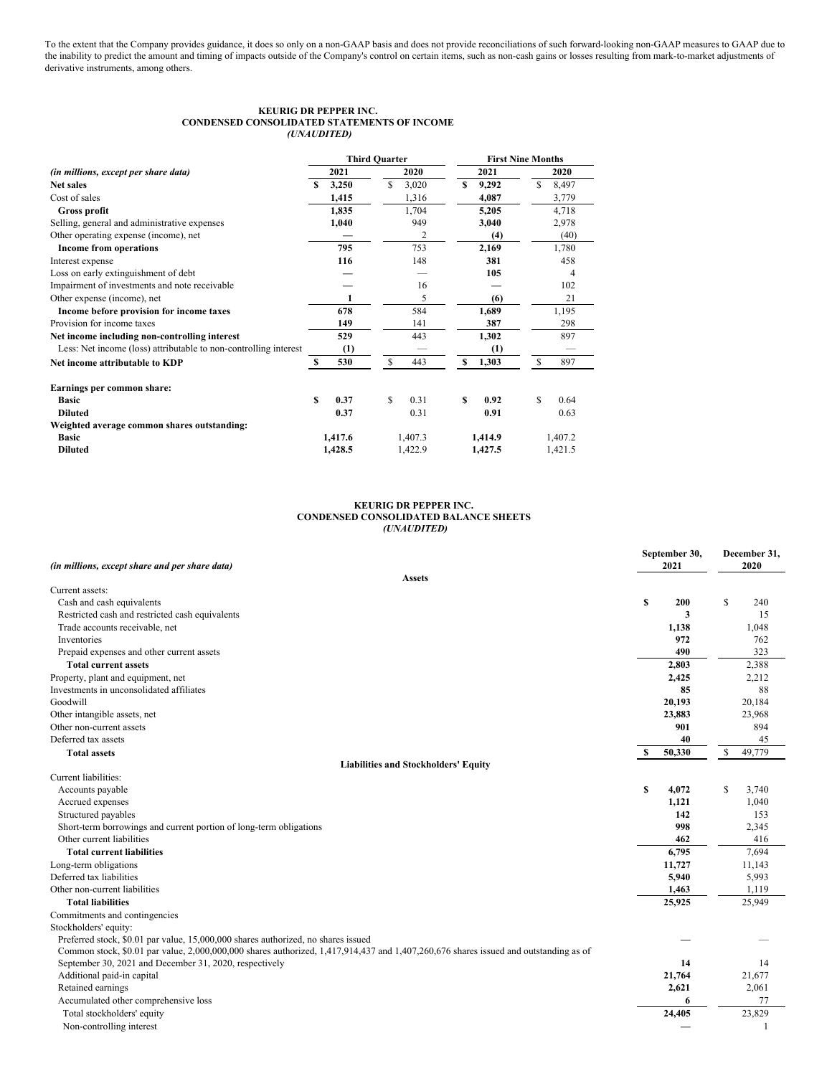To the extent that the Company provides guidance, it does so only on a non-GAAP basis and does not provide reconciliations of such forward-looking non-GAAP measures to GAAP due to the inability to predict the amount and timing of impacts outside of the Company's control on certain items, such as non-cash gains or losses resulting from mark-to-market adjustments of derivative instruments, among others.

# **KEURIG DR PEPPER INC. CONDENSED CONSOLIDATED STATEMENTS OF INCOME** *(UNAUDITED)*

|                                                                  |         | <b>Third Quarter</b> |               |                | <b>First Nine Months</b> |         |         |         |  |  |
|------------------------------------------------------------------|---------|----------------------|---------------|----------------|--------------------------|---------|---------|---------|--|--|
| (in millions, except per share data)                             | 2021    |                      |               | 2020           |                          | 2021    |         | 2020    |  |  |
| <b>Net sales</b>                                                 | S       | 3,250                | S             | 3,020          | S                        | 9,292   | S       | 8,497   |  |  |
| Cost of sales                                                    |         | 1,415                |               | 1,316          |                          | 4,087   |         | 3,779   |  |  |
| Gross profit                                                     |         | 1,835                |               | 1,704          |                          | 5,205   |         | 4,718   |  |  |
| Selling, general and administrative expenses                     |         | 1,040                |               | 949            |                          | 3,040   |         | 2,978   |  |  |
| Other operating expense (income), net                            |         |                      |               | $\overline{2}$ |                          | (4)     |         | (40)    |  |  |
| <b>Income from operations</b>                                    |         | 795                  |               | 753            |                          | 2,169   |         | 1,780   |  |  |
| Interest expense                                                 |         | 116                  |               | 148            |                          | 381     |         | 458     |  |  |
| Loss on early extinguishment of debt                             |         |                      |               |                |                          | 105     |         | 4       |  |  |
| Impairment of investments and note receivable                    |         |                      |               | 16             |                          |         |         | 102     |  |  |
| Other expense (income), net                                      |         |                      |               | 5              |                          | (6)     |         | 21      |  |  |
| Income before provision for income taxes                         |         | 678                  |               | 584            |                          | 1,689   |         | 1,195   |  |  |
| Provision for income taxes                                       |         | 149                  |               | 141            |                          | 387     |         | 298     |  |  |
| Net income including non-controlling interest                    |         | 529                  |               | 443            |                          | 1,302   |         | 897     |  |  |
| Less: Net income (loss) attributable to non-controlling interest |         | (1)                  |               |                |                          | (1)     |         |         |  |  |
| Net income attributable to KDP                                   | s       | 530                  | <sup>\$</sup> | 443            | S                        | 1,303   | \$      | 897     |  |  |
| Earnings per common share:                                       |         |                      |               |                |                          |         |         |         |  |  |
| <b>Basic</b>                                                     | \$      | 0.37                 | S             | 0.31           | S                        | 0.92    | S       | 0.64    |  |  |
| <b>Diluted</b>                                                   |         | 0.37                 |               | 0.31           |                          | 0.91    |         | 0.63    |  |  |
| Weighted average common shares outstanding:                      |         |                      |               |                |                          |         |         |         |  |  |
| <b>Basic</b>                                                     | 1,417.6 |                      |               | 1,407.3        | 1,414.9                  |         | 1,407.2 |         |  |  |
| <b>Diluted</b>                                                   | 1,428.5 |                      |               | 1,422.9        |                          | 1,427.5 |         | 1,421.5 |  |  |

# **KEURIG DR PEPPER INC. CONDENSED CONSOLIDATED BALANCE SHEETS** *(UNAUDITED)*

| 2020<br>(in millions, except share and per share data)<br>2021<br><b>Assets</b><br>Current assets:<br><sup>\$</sup><br>Cash and cash equivalents<br>S<br>200<br>240<br>Restricted cash and restricted cash equivalents<br>3<br>15<br>Trade accounts receivable, net<br>1,048<br>1,138<br>Inventories<br>972<br>762<br>490<br>323<br>Prepaid expenses and other current assets<br>2,803<br><b>Total current assets</b><br>2,388<br>Property, plant and equipment, net<br>2,425<br>2,212 |
|----------------------------------------------------------------------------------------------------------------------------------------------------------------------------------------------------------------------------------------------------------------------------------------------------------------------------------------------------------------------------------------------------------------------------------------------------------------------------------------|
|                                                                                                                                                                                                                                                                                                                                                                                                                                                                                        |
|                                                                                                                                                                                                                                                                                                                                                                                                                                                                                        |
|                                                                                                                                                                                                                                                                                                                                                                                                                                                                                        |
|                                                                                                                                                                                                                                                                                                                                                                                                                                                                                        |
|                                                                                                                                                                                                                                                                                                                                                                                                                                                                                        |
|                                                                                                                                                                                                                                                                                                                                                                                                                                                                                        |
|                                                                                                                                                                                                                                                                                                                                                                                                                                                                                        |
|                                                                                                                                                                                                                                                                                                                                                                                                                                                                                        |
|                                                                                                                                                                                                                                                                                                                                                                                                                                                                                        |
|                                                                                                                                                                                                                                                                                                                                                                                                                                                                                        |
| Investments in unconsolidated affiliates<br>85<br>88                                                                                                                                                                                                                                                                                                                                                                                                                                   |
| Goodwill<br>20,193<br>20,184                                                                                                                                                                                                                                                                                                                                                                                                                                                           |
| Other intangible assets, net<br>23,883<br>23,968                                                                                                                                                                                                                                                                                                                                                                                                                                       |
| Other non-current assets<br>901<br>894                                                                                                                                                                                                                                                                                                                                                                                                                                                 |
| 40<br>Deferred tax assets<br>45                                                                                                                                                                                                                                                                                                                                                                                                                                                        |
| \$<br>50,330<br>49,779<br>-S<br><b>Total assets</b>                                                                                                                                                                                                                                                                                                                                                                                                                                    |
| <b>Liabilities and Stockholders' Equity</b>                                                                                                                                                                                                                                                                                                                                                                                                                                            |
| Current liabilities:                                                                                                                                                                                                                                                                                                                                                                                                                                                                   |
| <sup>\$</sup><br>S<br>4.072<br>Accounts payable<br>3,740                                                                                                                                                                                                                                                                                                                                                                                                                               |
| Accrued expenses<br>1,121<br>1,040                                                                                                                                                                                                                                                                                                                                                                                                                                                     |
| Structured payables<br>142<br>153                                                                                                                                                                                                                                                                                                                                                                                                                                                      |
| 998<br>Short-term borrowings and current portion of long-term obligations<br>2,345                                                                                                                                                                                                                                                                                                                                                                                                     |
| Other current liabilities<br>462<br>416                                                                                                                                                                                                                                                                                                                                                                                                                                                |
| <b>Total current liabilities</b><br>6,795<br>7,694                                                                                                                                                                                                                                                                                                                                                                                                                                     |
| Long-term obligations<br>11,727<br>11,143                                                                                                                                                                                                                                                                                                                                                                                                                                              |
| Deferred tax liabilities<br>5,993<br>5,940                                                                                                                                                                                                                                                                                                                                                                                                                                             |
| Other non-current liabilities<br>1,463<br>1,119                                                                                                                                                                                                                                                                                                                                                                                                                                        |
| <b>Total liabilities</b><br>25,925<br>25,949                                                                                                                                                                                                                                                                                                                                                                                                                                           |
| Commitments and contingencies                                                                                                                                                                                                                                                                                                                                                                                                                                                          |
| Stockholders' equity:                                                                                                                                                                                                                                                                                                                                                                                                                                                                  |
| Preferred stock, \$0.01 par value, 15,000,000 shares authorized, no shares issued                                                                                                                                                                                                                                                                                                                                                                                                      |
| Common stock, \$0.01 par value, 2,000,000,000 shares authorized, 1,417,914,437 and 1,407,260,676 shares issued and outstanding as of                                                                                                                                                                                                                                                                                                                                                   |
| September 30, 2021 and December 31, 2020, respectively<br>14<br>14                                                                                                                                                                                                                                                                                                                                                                                                                     |
| 21,764<br>21,677<br>Additional paid-in capital                                                                                                                                                                                                                                                                                                                                                                                                                                         |
| Retained earnings<br>2,621<br>2,061                                                                                                                                                                                                                                                                                                                                                                                                                                                    |
| Accumulated other comprehensive loss<br>77<br>6                                                                                                                                                                                                                                                                                                                                                                                                                                        |
| 23,829<br>Total stockholders' equity<br>24,405                                                                                                                                                                                                                                                                                                                                                                                                                                         |
| Non-controlling interest<br>$\mathbf{1}$                                                                                                                                                                                                                                                                                                                                                                                                                                               |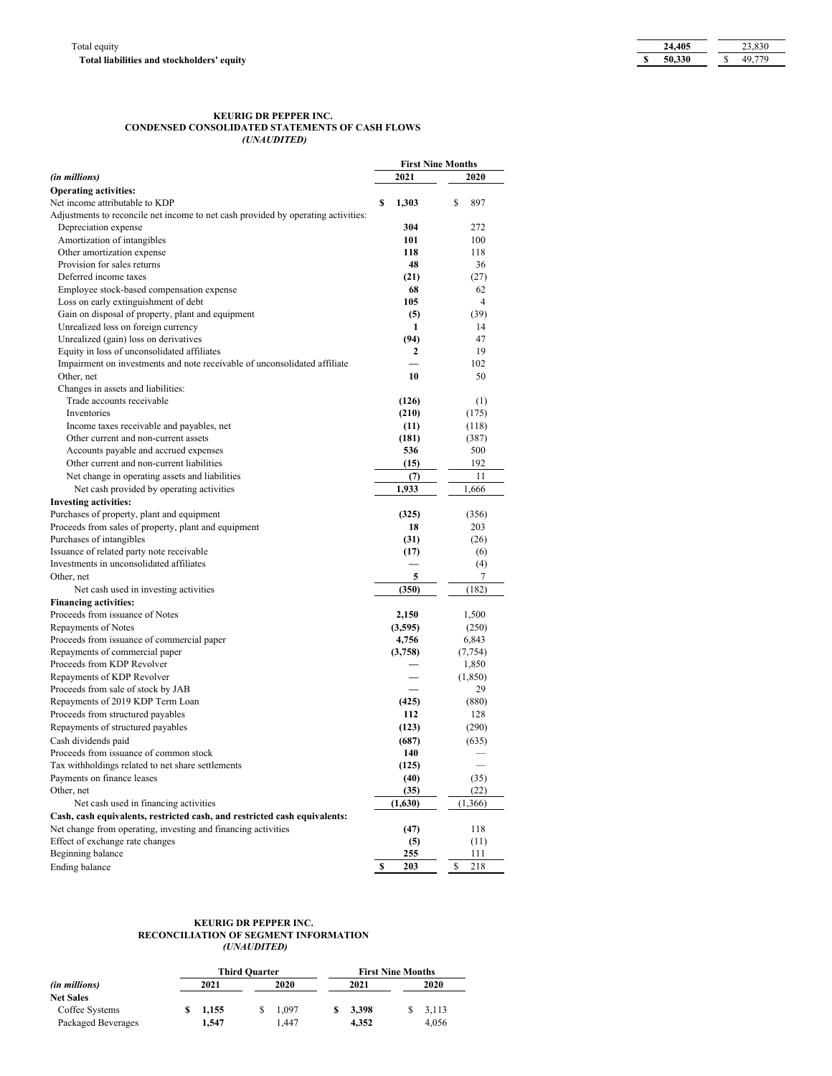# **KEURIG DR PEPPER INC. CONDENSED CONSOLIDATED STATEMENTS OF CASH FLOWS** *(UNAUDITED)*

|                                                                                             | <b>First Nine Months</b> |    |                |
|---------------------------------------------------------------------------------------------|--------------------------|----|----------------|
| (in millions)                                                                               | 2021                     |    | 2020           |
| <b>Operating activities:</b>                                                                |                          |    |                |
| Net income attributable to KDP                                                              | \$<br>1,303              | S  | 897            |
| Adjustments to reconcile net income to net cash provided by operating activities:           |                          |    |                |
| Depreciation expense                                                                        | 304                      |    | 272            |
| Amortization of intangibles                                                                 | 101                      |    | 100            |
| Other amortization expense                                                                  | 118                      |    | 118            |
| Provision for sales returns                                                                 | 48                       |    | 36             |
| Deferred income taxes                                                                       | (21)                     |    | (27)           |
| Employee stock-based compensation expense                                                   | 68                       |    | 62             |
| Loss on early extinguishment of debt                                                        | 105                      |    | $\overline{4}$ |
| Gain on disposal of property, plant and equipment                                           | (5)                      |    | (39)           |
| Unrealized loss on foreign currency                                                         | 1                        |    | 14             |
| Unrealized (gain) loss on derivatives                                                       | (94)                     |    | 47             |
| Equity in loss of unconsolidated affiliates                                                 | 2                        |    | 19             |
| Impairment on investments and note receivable of unconsolidated affiliate                   |                          |    | 102            |
| Other, net                                                                                  | 10                       |    | 50             |
| Changes in assets and liabilities:                                                          |                          |    |                |
| Trade accounts receivable                                                                   | (126)                    |    | (1)            |
| Inventories                                                                                 | (210)                    |    | (175)          |
| Income taxes receivable and payables, net                                                   | (11)                     |    | (118)          |
| Other current and non-current assets                                                        | (181)                    |    | (387)          |
| Accounts payable and accrued expenses                                                       | 536                      |    | 500            |
| Other current and non-current liabilities                                                   | (15)                     |    | 192            |
| Net change in operating assets and liabilities                                              | (7)                      |    | 11             |
| Net cash provided by operating activities                                                   | 1,933                    |    | 1,666          |
| <b>Investing activities:</b>                                                                |                          |    |                |
| Purchases of property, plant and equipment                                                  | (325)                    |    | (356)          |
| Proceeds from sales of property, plant and equipment                                        | 18                       |    | 203            |
| Purchases of intangibles                                                                    | (31)                     |    | (26)           |
| Issuance of related party note receivable                                                   | (17)                     |    | (6)            |
| Investments in unconsolidated affiliates                                                    |                          |    | (4)            |
| Other, net                                                                                  | 5                        |    | 7              |
| Net cash used in investing activities                                                       | (350)                    |    | (182)          |
| <b>Financing activities:</b>                                                                |                          |    |                |
| Proceeds from issuance of Notes                                                             | 2,150                    |    | 1,500          |
| <b>Repayments of Notes</b>                                                                  | (3,595)                  |    | (250)          |
| Proceeds from issuance of commercial paper                                                  | 4,756                    |    | 6,843          |
| Repayments of commercial paper                                                              | (3,758)                  |    | (7, 754)       |
| Proceeds from KDP Revolver                                                                  |                          |    | 1,850          |
| Repayments of KDP Revolver                                                                  |                          |    | (1,850)        |
| Proceeds from sale of stock by JAB                                                          |                          |    | 29             |
| Repayments of 2019 KDP Term Loan                                                            | (425)                    |    | (880)          |
| Proceeds from structured payables                                                           | 112                      |    | 128            |
| Repayments of structured payables                                                           | (123)                    |    | (290)          |
| Cash dividends paid                                                                         |                          |    |                |
|                                                                                             | (687)                    |    | (635)          |
| Proceeds from issuance of common stock<br>Tax withholdings related to net share settlements | 140                      |    |                |
|                                                                                             | (125)                    |    |                |
| Payments on finance leases                                                                  | (40)                     |    | (35)           |
| Other, net                                                                                  | (35)                     |    | (22)           |
| Net cash used in financing activities                                                       | (1,630)                  |    | (1, 366)       |
| Cash, cash equivalents, restricted cash, and restricted cash equivalents:                   |                          |    |                |
| Net change from operating, investing and financing activities                               | (47)                     |    | 118            |
| Effect of exchange rate changes                                                             | (5)                      |    | (11)           |
| Beginning balance                                                                           | 255                      |    | 111            |
| Ending balance                                                                              | \$<br>203                | \$ | 218            |

# **KEURIG DR PEPPER INC. RECONCILIATION OF SEGMENT INFORMATION** *(UNAUDITED)*

|                    |              |       | <b>Third Quarter</b> |       | <b>First Nine Months</b> |       |  |       |  |
|--------------------|--------------|-------|----------------------|-------|--------------------------|-------|--|-------|--|
| (in millions)      | 2020<br>2021 |       |                      |       |                          | 2021  |  | 2020  |  |
| <b>Net Sales</b>   |              |       |                      |       |                          |       |  |       |  |
| Coffee Systems     |              | 1.155 |                      | 1.097 |                          | 3.398 |  | 3.113 |  |
| Packaged Beverages |              | 1.547 |                      | .447  |                          | 4.352 |  | 4.056 |  |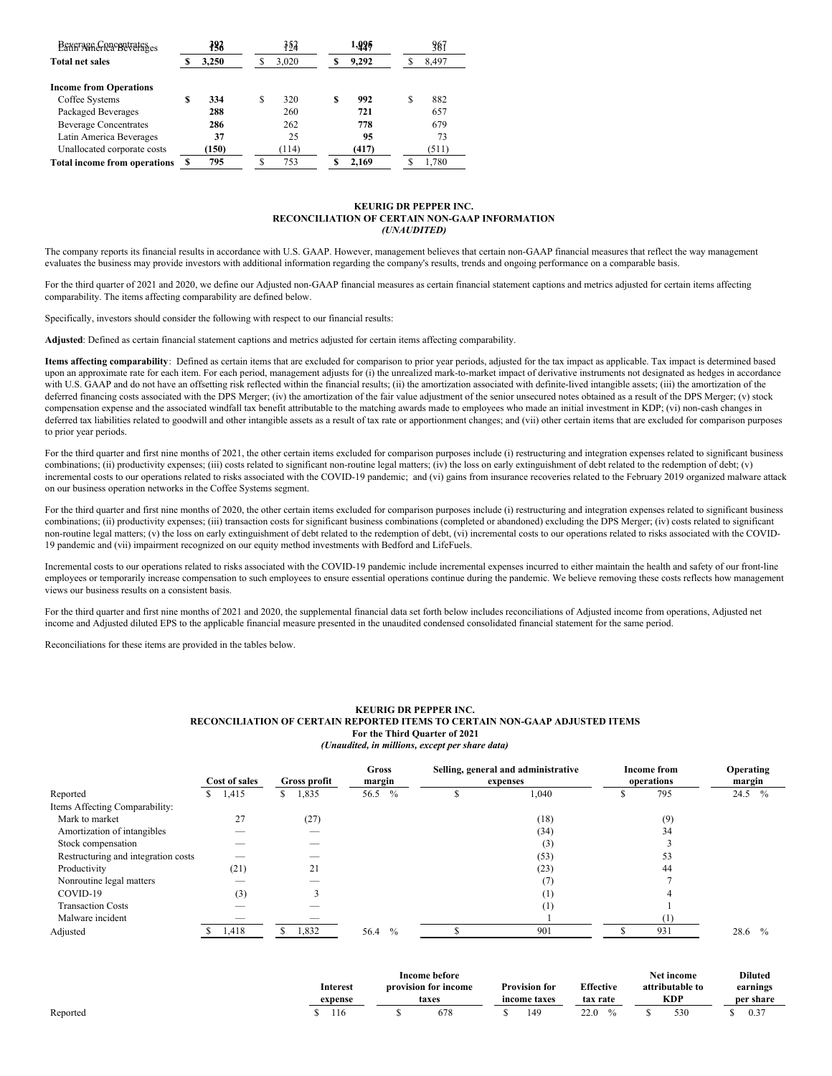| Beverage Concentrates               | 383   |   | 752   |   | -925  | 387   |
|-------------------------------------|-------|---|-------|---|-------|-------|
| <b>Total net sales</b>              | 3.250 |   | 3,020 |   | 9.292 | 8,497 |
| <b>Income from Operations</b>       |       |   |       |   |       |       |
| Coffee Systems                      | 334   | S | 320   | S | 992   | 882   |
| Packaged Beverages                  | 288   |   | 260   |   | 721   | 657   |
| <b>Beverage Concentrates</b>        | 286   |   | 262   |   | 778   | 679   |
| Latin America Beverages             | 37    |   | 25    |   | 95    | 73    |
| Unallocated corporate costs         | (150) |   | (114) |   | (417) | (511) |
| <b>Total income from operations</b> | 795   |   | 753   |   | 2,169 | 1.780 |

### **KEURIG DR PEPPER INC. RECONCILIATION OF CERTAIN NON-GAAP INFORMATION** *(UNAUDITED)*

The company reports its financial results in accordance with U.S. GAAP. However, management believes that certain non-GAAP financial measures that reflect the way management evaluates the business may provide investors with additional information regarding the company's results, trends and ongoing performance on a comparable basis.

For the third quarter of 2021 and 2020, we define our Adjusted non-GAAP financial measures as certain financial statement captions and metrics adjusted for certain items affecting comparability. The items affecting comparability are defined below.

Specifically, investors should consider the following with respect to our financial results:

**Adjusted**: Defined as certain financial statement captions and metrics adjusted for certain items affecting comparability.

**Items affecting comparability**: Defined as certain items that are excluded for comparison to prior year periods, adjusted for the tax impact as applicable. Tax impact is determined based upon an approximate rate for each item. For each period, management adjusts for (i) the unrealized mark-to-market impact of derivative instruments not designated as hedges in accordance with U.S. GAAP and do not have an offsetting risk reflected within the financial results; (ii) the amortization associated with definite-lived intangible assets; (iii) the amortization of the deferred financing costs associated with the DPS Merger; (iv) the amortization of the fair value adjustment of the senior unsecured notes obtained as a result of the DPS Merger; (v) stock compensation expense and the associated windfall tax benefit attributable to the matching awards made to employees who made an initial investment in KDP; (vi) non-cash changes in deferred tax liabilities related to goodwill and other intangible assets as a result of tax rate or apportionment changes; and (vii) other certain items that are excluded for comparison purposes to prior year periods.

For the third quarter and first nine months of 2021, the other certain items excluded for comparison purposes include (i) restructuring and integration expenses related to significant business combinations; (ii) productivity expenses; (iii) costs related to significant non-routine legal matters; (iv) the loss on early extinguishment of debt related to the redemption of debt; (v) incremental costs to our operations related to risks associated with the COVID-19 pandemic; and (vi) gains from insurance recoveries related to the February 2019 organized malware attack on our business operation networks in the Coffee Systems segment.

For the third quarter and first nine months of 2020, the other certain items excluded for comparison purposes include (i) restructuring and integration expenses related to significant business combinations; (ii) productivity expenses; (iii) transaction costs for significant business combinations (completed or abandoned) excluding the DPS Merger; (iv) costs related to significant non-routine legal matters; (v) the loss on early extinguishment of debt related to the redemption of debt, (vi) incremental costs to our operations related to risks associated with the COVID-19 pandemic and (vii) impairment recognized on our equity method investments with Bedford and LifeFuels.

Incremental costs to our operations related to risks associated with the COVID-19 pandemic include incremental expenses incurred to either maintain the health and safety of our front-line employees or temporarily increase compensation to such employees to ensure essential operations continue during the pandemic. We believe removing these costs reflects how management views our business results on a consistent basis.

For the third quarter and first nine months of 2021 and 2020, the supplemental financial data set forth below includes reconciliations of Adjusted income from operations, Adjusted net income and Adjusted diluted EPS to the applicable financial measure presented in the unaudited condensed consolidated financial statement for the same period.

Reconciliations for these items are provided in the tables below.

### **KEURIG DR PEPPER INC. RECONCILIATION OF CERTAIN REPORTED ITEMS TO CERTAIN NON-GAAP ADJUSTED ITEMS For the Third Quarter of 2021** *(Unaudited, in millions, except per share data)*

|                                     | Cost of sales<br>Gross profit |             | Gross<br>Selling, general and administrative<br>margin<br>expenses |  |       | <b>Income from</b><br>operations | Operating<br>margin   |
|-------------------------------------|-------------------------------|-------------|--------------------------------------------------------------------|--|-------|----------------------------------|-----------------------|
| Reported                            | 1,415<br>ъ                    | 1,835<br>S. | $\frac{0}{0}$<br>56.5                                              |  | 1,040 | 795                              | 24.5<br>$\%$          |
| Items Affecting Comparability:      |                               |             |                                                                    |  |       |                                  |                       |
| Mark to market                      | 27                            | (27)        |                                                                    |  | (18)  | (9)                              |                       |
| Amortization of intangibles         |                               |             |                                                                    |  | (34)  | 34                               |                       |
| Stock compensation                  |                               |             |                                                                    |  | (3)   |                                  |                       |
| Restructuring and integration costs |                               |             |                                                                    |  | (53)  | 53                               |                       |
| Productivity                        | (21)                          | 21          |                                                                    |  | (23)  | 44                               |                       |
| Nonroutine legal matters            | $\overline{\phantom{a}}$      |             |                                                                    |  | (7)   |                                  |                       |
| COVID-19                            | (3)                           |             |                                                                    |  | (1)   |                                  |                       |
| <b>Transaction Costs</b>            |                               |             |                                                                    |  | (1)   |                                  |                       |
| Malware incident                    |                               |             |                                                                    |  |       | (1)                              |                       |
| Adjusted                            | 1,418                         | 1,832<br>ъ  | 56.4<br>$\frac{0}{0}$                                              |  | 901   | 931                              | 28.6<br>$\frac{0}{0}$ |

|          |                 | Income before        |                      |              |  | Net income      | <b>Diluted</b> |
|----------|-----------------|----------------------|----------------------|--------------|--|-----------------|----------------|
|          | <b>Interest</b> | provision for income | <b>Provision for</b> | Effective    |  | attributable to | earnings       |
|          | expense         | taxes                | income taxes         | tax rate     |  | KDP.            | per share      |
| Reported | 116             | 678                  | 149                  | 22 O<br>44.V |  | 530             | 0.37           |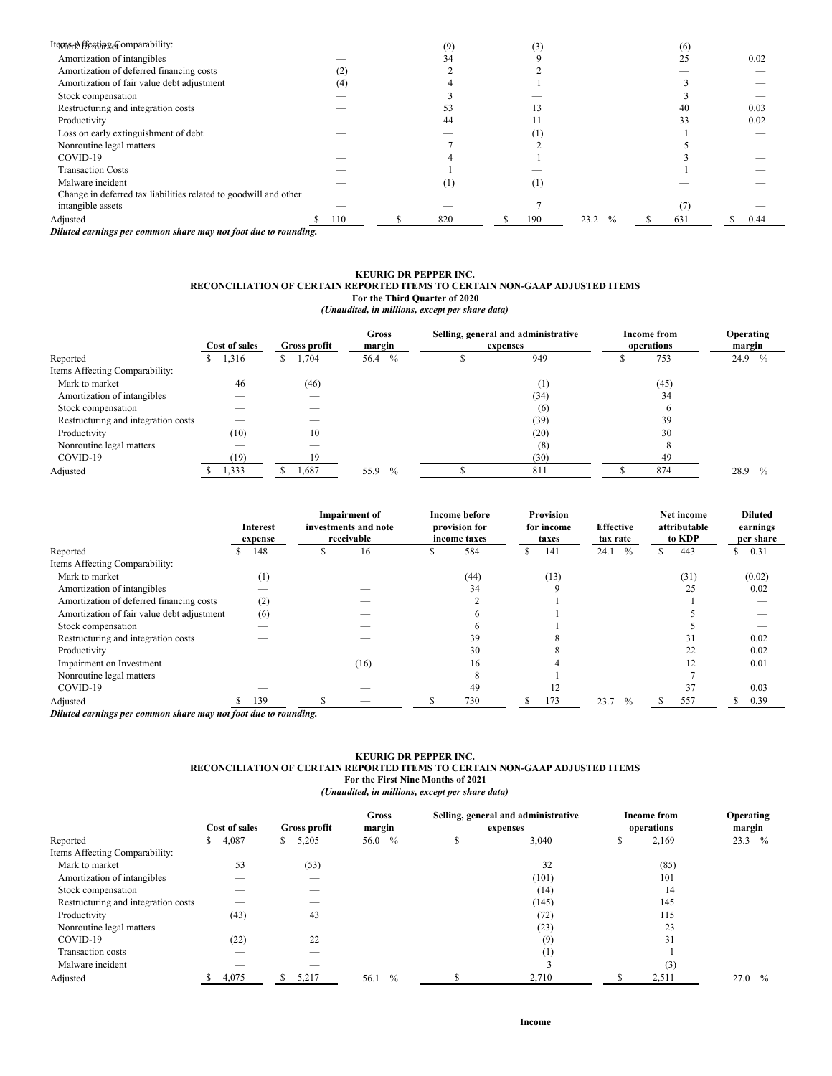| Iteyns <sub>t</sub> Affesting&omparability:                      |     | (9) | (3) |                       | (6) |      |
|------------------------------------------------------------------|-----|-----|-----|-----------------------|-----|------|
| Amortization of intangibles                                      |     | 34  |     |                       | 25  | 0.02 |
| Amortization of deferred financing costs                         | (2) |     |     |                       |     |      |
| Amortization of fair value debt adjustment                       | (4) |     |     |                       |     |      |
| Stock compensation                                               |     |     |     |                       |     |      |
| Restructuring and integration costs                              |     | 53  |     |                       | 40  | 0.03 |
| Productivity                                                     |     | 44  |     |                       | 33  | 0.02 |
| Loss on early extinguishment of debt                             |     |     |     |                       |     |      |
| Nonroutine legal matters                                         |     |     |     |                       |     |      |
| COVID-19                                                         |     |     |     |                       |     |      |
| <b>Transaction Costs</b>                                         |     |     |     |                       |     |      |
| Malware incident                                                 |     | (1) | (1) |                       |     |      |
| Change in deferred tax liabilities related to goodwill and other |     |     |     |                       |     |      |
| intangible assets                                                |     |     |     |                       |     |      |
| Adjusted                                                         | 110 | 820 | 190 | 23.2<br>$\frac{0}{0}$ | 631 | 0.44 |

*Diluted earnings per common share may not foot due to rounding.*

#### **KEURIG DR PEPPER INC. RECONCILIATION OF CERTAIN REPORTED ITEMS TO CERTAIN NON-GAAP ADJUSTED ITEMS For the Third Quarter of 2020** *(Unaudited, in millions, except per share data)*

|                                     | Cost of sales | Gross profit |                       | Selling, general and administrative<br>expenses | <b>Income from</b><br>operations | <b>Operating</b><br>margin |
|-------------------------------------|---------------|--------------|-----------------------|-------------------------------------------------|----------------------------------|----------------------------|
| Reported                            | 1,316<br>S.   | 1,704<br>S.  | 56.4<br>$\frac{0}{0}$ | 949                                             | 753                              | 24.9<br>$\frac{0}{0}$      |
| Items Affecting Comparability:      |               |              |                       |                                                 |                                  |                            |
| Mark to market                      | 46            | (46)         |                       | (1)                                             | (45)                             |                            |
| Amortization of intangibles         |               |              |                       | (34)                                            | 34                               |                            |
| Stock compensation                  |               |              |                       | (6)                                             | o                                |                            |
| Restructuring and integration costs | __            |              |                       | (39)                                            | 39                               |                            |
| Productivity                        | (10)          | 10           |                       | (20)                                            | 30                               |                            |
| Nonroutine legal matters            |               |              |                       | (8)                                             |                                  |                            |
| COVID-19                            | (19)          | 19           |                       | (30)                                            | 49                               |                            |
| Adjusted                            | 1,333         | 1,687        | $\frac{0}{0}$<br>55.9 | 811                                             | 874                              | 28.9<br>$\frac{0}{0}$      |

|                                            |          | <b>Interest</b><br>expense |          | <b>Impairment</b> of<br>investments and note<br>receivable | <b>Income before</b><br>provision for<br>income taxes |   | <b>Provision</b><br>for income<br>taxes | <b>Effective</b><br>tax rate |               |    | Net income<br>attributable<br>to KDP | <b>Diluted</b><br>earnings<br>per share |
|--------------------------------------------|----------|----------------------------|----------|------------------------------------------------------------|-------------------------------------------------------|---|-----------------------------------------|------------------------------|---------------|----|--------------------------------------|-----------------------------------------|
| Reported                                   |          | 148                        |          | 16                                                         | 584                                                   | S | 141                                     | 24.1                         | $\frac{0}{0}$ | ъ. | 443                                  | \$<br>0.31                              |
| Items Affecting Comparability:             |          |                            |          |                                                            |                                                       |   |                                         |                              |               |    |                                      |                                         |
| Mark to market                             |          | (1)                        |          |                                                            | (44)                                                  |   | (13)                                    |                              |               |    | (31)                                 | (0.02)                                  |
| Amortization of intangibles                |          |                            |          |                                                            | 34                                                    |   |                                         |                              |               |    | 25                                   | 0.02                                    |
| Amortization of deferred financing costs   |          | (2)                        |          |                                                            |                                                       |   |                                         |                              |               |    |                                      |                                         |
| Amortization of fair value debt adjustment |          | (6)                        |          |                                                            |                                                       |   |                                         |                              |               |    |                                      |                                         |
| Stock compensation                         |          |                            |          |                                                            |                                                       |   |                                         |                              |               |    |                                      |                                         |
| Restructuring and integration costs        |          |                            |          |                                                            | 39                                                    |   |                                         |                              |               |    | 31                                   | 0.02                                    |
| Productivity                               |          |                            |          |                                                            | 30                                                    |   |                                         |                              |               |    | 22                                   | 0.02                                    |
| Impairment on Investment                   |          |                            |          | (16)                                                       | 16                                                    |   |                                         |                              |               |    |                                      | 0.01                                    |
| Nonroutine legal matters                   |          |                            |          |                                                            | 8                                                     |   |                                         |                              |               |    |                                      |                                         |
| COVID-19                                   |          |                            |          |                                                            | 49                                                    |   |                                         |                              |               |    | 37                                   | 0.03                                    |
| Adjusted                                   |          | 139                        |          |                                                            | 730                                                   | ς | 173                                     | 23.7                         | $\frac{0}{0}$ |    | 557                                  | 0.39                                    |
| $\mathbf{r}$                               | $\cdots$ |                            | $\cdots$ |                                                            |                                                       |   |                                         |                              |               |    |                                      |                                         |

*Diluted earnings per common share may not foot due to rounding.*

# **KEURIG DR PEPPER INC. RECONCILIATION OF CERTAIN REPORTED ITEMS TO CERTAIN NON-GAAP ADJUSTED ITEMS For the First Nine Months of 2021** *(Unaudited, in millions, except per share data)*

|                                     | Cost of sales | <b>Gross</b><br>Selling, general and administrative<br><b>Gross profit</b><br>margin<br>expenses |                       |  | <b>Income from</b><br>operations |  |       |                       |
|-------------------------------------|---------------|--------------------------------------------------------------------------------------------------|-----------------------|--|----------------------------------|--|-------|-----------------------|
| Reported                            | 4,087         | 5,205                                                                                            | $\frac{0}{0}$<br>56.0 |  | 3,040                            |  | 2,169 | 23.3<br>$\frac{0}{0}$ |
| Items Affecting Comparability:      |               |                                                                                                  |                       |  |                                  |  |       |                       |
| Mark to market                      | 53            | (53)                                                                                             |                       |  | 32                               |  | (85)  |                       |
| Amortization of intangibles         |               | __                                                                                               |                       |  | (101)                            |  | 101   |                       |
| Stock compensation                  |               |                                                                                                  |                       |  | (14)                             |  | 14    |                       |
| Restructuring and integration costs |               |                                                                                                  |                       |  | (145)                            |  | 145   |                       |
| Productivity                        | (43)          | 43                                                                                               |                       |  | (72)                             |  | 115   |                       |
| Nonroutine legal matters            |               |                                                                                                  |                       |  | (23)                             |  | 23    |                       |
| COVID-19                            | (22)          | 22                                                                                               |                       |  | (9)                              |  | 31    |                       |
| Transaction costs                   |               |                                                                                                  |                       |  | (1)                              |  |       |                       |
| Malware incident                    | $-$           | $-$                                                                                              |                       |  |                                  |  | (3)   |                       |
| Adjusted                            | 4,075         | 5,217                                                                                            | $\%$<br>56.1          |  | 2,710                            |  | 2,511 | 27.0<br>$\frac{0}{0}$ |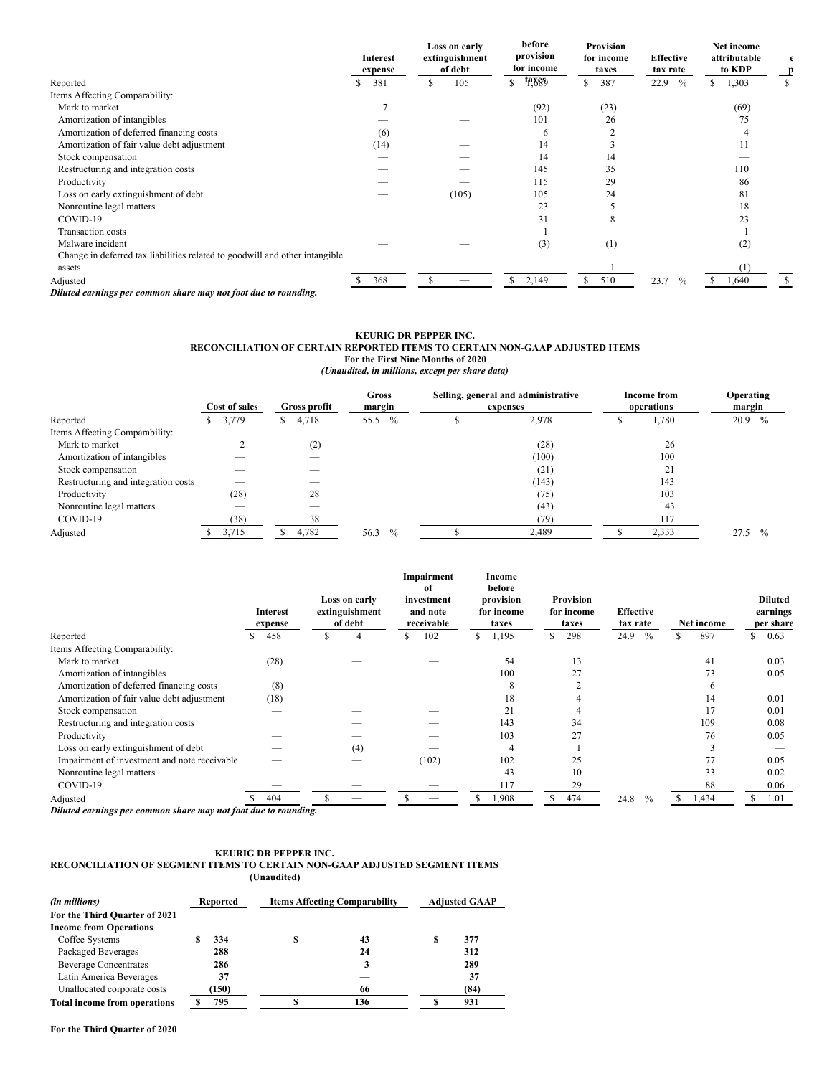|                                                                             | Interest<br>expense |   | Loss on early<br>extinguishment<br>of debt |    | before<br>provision<br>for income |    | <b>Provision</b><br>for income<br>taxes | <b>Effective</b><br>tax rate |               |               | <b>Net income</b><br>attributable<br>to KDP |  |
|-----------------------------------------------------------------------------|---------------------|---|--------------------------------------------|----|-----------------------------------|----|-----------------------------------------|------------------------------|---------------|---------------|---------------------------------------------|--|
| Reported                                                                    | 381                 | S | 105                                        | \$ | ta 889                            | S  | 387                                     | 22.9                         | $\%$          | \$            | 1,303                                       |  |
| Items Affecting Comparability:                                              |                     |   |                                            |    |                                   |    |                                         |                              |               |               |                                             |  |
| Mark to market                                                              |                     |   |                                            |    | (92)                              |    | (23)                                    |                              |               |               | (69)                                        |  |
| Amortization of intangibles                                                 |                     |   |                                            |    | 101                               |    | 26                                      |                              |               |               | 75                                          |  |
| Amortization of deferred financing costs                                    | (6)                 |   |                                            |    | 6                                 |    |                                         |                              |               |               |                                             |  |
| Amortization of fair value debt adjustment                                  | (14)                |   |                                            |    | 14                                |    |                                         |                              |               |               |                                             |  |
| Stock compensation                                                          |                     |   |                                            |    | 14                                |    | 14                                      |                              |               |               |                                             |  |
| Restructuring and integration costs                                         |                     |   |                                            |    | 145                               |    | 35                                      |                              |               |               | 110                                         |  |
| Productivity                                                                |                     |   |                                            |    | 115                               |    | 29                                      |                              |               |               | 86                                          |  |
| Loss on early extinguishment of debt                                        |                     |   | (105)                                      |    | 105                               |    | 24                                      |                              |               |               | 81                                          |  |
| Nonroutine legal matters                                                    |                     |   |                                            |    | 23                                |    |                                         |                              |               |               | 18                                          |  |
| COVID-19                                                                    |                     |   |                                            |    | 31                                |    |                                         |                              |               |               | 23                                          |  |
| <b>Transaction costs</b>                                                    |                     |   |                                            |    |                                   |    |                                         |                              |               |               |                                             |  |
| Malware incident                                                            |                     |   |                                            |    | (3)                               |    | (1)                                     |                              |               |               | (2)                                         |  |
| Change in deferred tax liabilities related to goodwill and other intangible |                     |   |                                            |    |                                   |    |                                         |                              |               |               |                                             |  |
| assets                                                                      |                     |   |                                            |    |                                   |    |                                         |                              |               |               | (1)                                         |  |
| Adjusted                                                                    | 368                 | S | $-$                                        | S  | 2,149                             | S. | 510                                     | 23.7                         | $\frac{0}{0}$ | <sup>\$</sup> | 1,640                                       |  |
| Diluted earnings per common share may not foot due to rounding.             |                     |   |                                            |    |                                   |    |                                         |                              |               |               |                                             |  |

#### **KEURIG DR PEPPER INC. RECONCILIATION OF CERTAIN REPORTED ITEMS TO CERTAIN NON-GAAP ADJUSTED ITEMS For the First Nine Months of 2020** *(Unaudited, in millions, except per share data)*

|                                     |  | Cost of sales<br>Gross profit |    | Gross<br>margin |      | Selling, general and administrative<br>expenses |  |  |       | <b>Income from</b><br>operations | <b>Operating</b><br>margin |      |               |
|-------------------------------------|--|-------------------------------|----|-----------------|------|-------------------------------------------------|--|--|-------|----------------------------------|----------------------------|------|---------------|
| Reported                            |  | 3,779                         | S. | 4,718           | 55.5 | $\frac{0}{0}$                                   |  |  | 2,978 |                                  | 1,780                      | 20.9 | $\frac{0}{0}$ |
| Items Affecting Comparability:      |  |                               |    |                 |      |                                                 |  |  |       |                                  |                            |      |               |
| Mark to market                      |  |                               |    | (2)             |      |                                                 |  |  | (28)  |                                  | 26                         |      |               |
| Amortization of intangibles         |  |                               |    |                 |      |                                                 |  |  | (100) |                                  | 100                        |      |               |
| Stock compensation                  |  | $\overline{\phantom{a}}$      |    |                 |      |                                                 |  |  | (21)  |                                  | 21                         |      |               |
| Restructuring and integration costs |  |                               |    |                 |      |                                                 |  |  | (143) |                                  | 143                        |      |               |
| Productivity                        |  | (28)                          |    | 28              |      |                                                 |  |  | (75)  |                                  | 103                        |      |               |
| Nonroutine legal matters            |  |                               |    |                 |      |                                                 |  |  | (43)  |                                  | 43                         |      |               |
| COVID-19                            |  | (38)                          |    | 38              |      |                                                 |  |  | (79)  |                                  | 117                        |      |               |
| Adjusted                            |  | 3,715                         |    | 4,782           | 56.3 | $\frac{0}{0}$                                   |  |  | 2,489 |                                  | 2,333                      | 27.5 | $\frac{0}{0}$ |

|                                                                                                                                                                   | <b>Interest</b><br>expense |    | Loss on early<br>extinguishment<br>of debt |    | Impairment<br>of<br>investment<br>and note<br>receivable |     | Income<br>before<br>provision<br>for income<br>taxes |    | <b>Provision</b><br>for income<br>taxes | <b>Effective</b><br>tax rate |               | Net income |    | <b>Diluted</b><br>earnings<br>per share |
|-------------------------------------------------------------------------------------------------------------------------------------------------------------------|----------------------------|----|--------------------------------------------|----|----------------------------------------------------------|-----|------------------------------------------------------|----|-----------------------------------------|------------------------------|---------------|------------|----|-----------------------------------------|
| Reported                                                                                                                                                          | 458                        | N. | 4                                          | S. | 102                                                      | \$. | 1,195                                                | \$ | 298                                     | 24.9                         | $\%$          | \$<br>897  | S. | 0.63                                    |
| Items Affecting Comparability:                                                                                                                                    |                            |    |                                            |    |                                                          |     |                                                      |    |                                         |                              |               |            |    |                                         |
| Mark to market                                                                                                                                                    | (28)                       |    |                                            |    |                                                          |     | 54                                                   |    | 13                                      |                              |               | 41         |    | 0.03                                    |
| Amortization of intangibles                                                                                                                                       |                            |    |                                            |    |                                                          |     | 100                                                  |    | 27                                      |                              |               | 73         |    | 0.05                                    |
| Amortization of deferred financing costs                                                                                                                          | (8)                        |    |                                            |    |                                                          |     | 8                                                    |    |                                         |                              |               | $\circ$    |    |                                         |
| Amortization of fair value debt adjustment                                                                                                                        | (18)                       |    |                                            |    |                                                          |     | 18                                                   |    |                                         |                              |               | 14         |    | 0.01                                    |
| Stock compensation                                                                                                                                                |                            |    |                                            |    |                                                          |     | 21                                                   |    |                                         |                              |               | 17         |    | 0.01                                    |
| Restructuring and integration costs                                                                                                                               |                            |    |                                            |    |                                                          |     | 143                                                  |    | 34                                      |                              |               | 109        |    | 0.08                                    |
| Productivity                                                                                                                                                      |                            |    |                                            |    |                                                          |     | 103                                                  |    | 27                                      |                              |               | 76         |    | 0.05                                    |
| Loss on early extinguishment of debt                                                                                                                              |                            |    | (4)                                        |    |                                                          |     | 4                                                    |    |                                         |                              |               |            |    |                                         |
| Impairment of investment and note receivable                                                                                                                      |                            |    |                                            |    | (102)                                                    |     | 102                                                  |    | 25                                      |                              |               | 77         |    | 0.05                                    |
| Nonroutine legal matters                                                                                                                                          |                            |    |                                            |    |                                                          |     | 43                                                   |    | 10                                      |                              |               | 33         |    | 0.02                                    |
| COVID-19                                                                                                                                                          |                            |    |                                            |    |                                                          |     | 117                                                  |    | 29                                      |                              |               | 88         |    | 0.06                                    |
| Adjusted<br>$\mathbf{D}H_1, \mathbf{I}$ , and there is no considered to the second control $\mathbf{f}_1$ of $\mathbf{I}_2$ , $\mathbf{I}_3$ , and $\mathbf{I}_4$ | 404                        |    |                                            |    |                                                          |     | 1,908                                                | ъ. | 474                                     | 24.8                         | $\frac{0}{0}$ | 1,434      | ъ. | 1.01                                    |

*Diluted earnings per common share may not foot due to rounding.*

#### **KEURIG DR PEPPER INC. RECONCILIATION OF SEGMENT ITEMS TO CERTAIN NON-GAAP ADJUSTED SEGMENT ITEMS (Unaudited)**

| (in millions)                       | Reported |   | <b>Items Affecting Comparability</b> |   | <b>Adjusted GAAP</b> |
|-------------------------------------|----------|---|--------------------------------------|---|----------------------|
| For the Third Quarter of 2021       |          |   |                                      |   |                      |
| <b>Income from Operations</b>       |          |   |                                      |   |                      |
| Coffee Systems                      | 334      | S | 43                                   | S | 377                  |
| Packaged Beverages                  | 288      |   | 24                                   |   | 312                  |
| <b>Beverage Concentrates</b>        | 286      |   |                                      |   | 289                  |
| Latin America Beverages             | 37       |   |                                      |   | 37                   |
| Unallocated corporate costs         | (150)    |   | 66                                   |   | (84)                 |
| <b>Total income from operations</b> | 795      |   | 136                                  |   | 931                  |

**For the Third Quarter of 2020**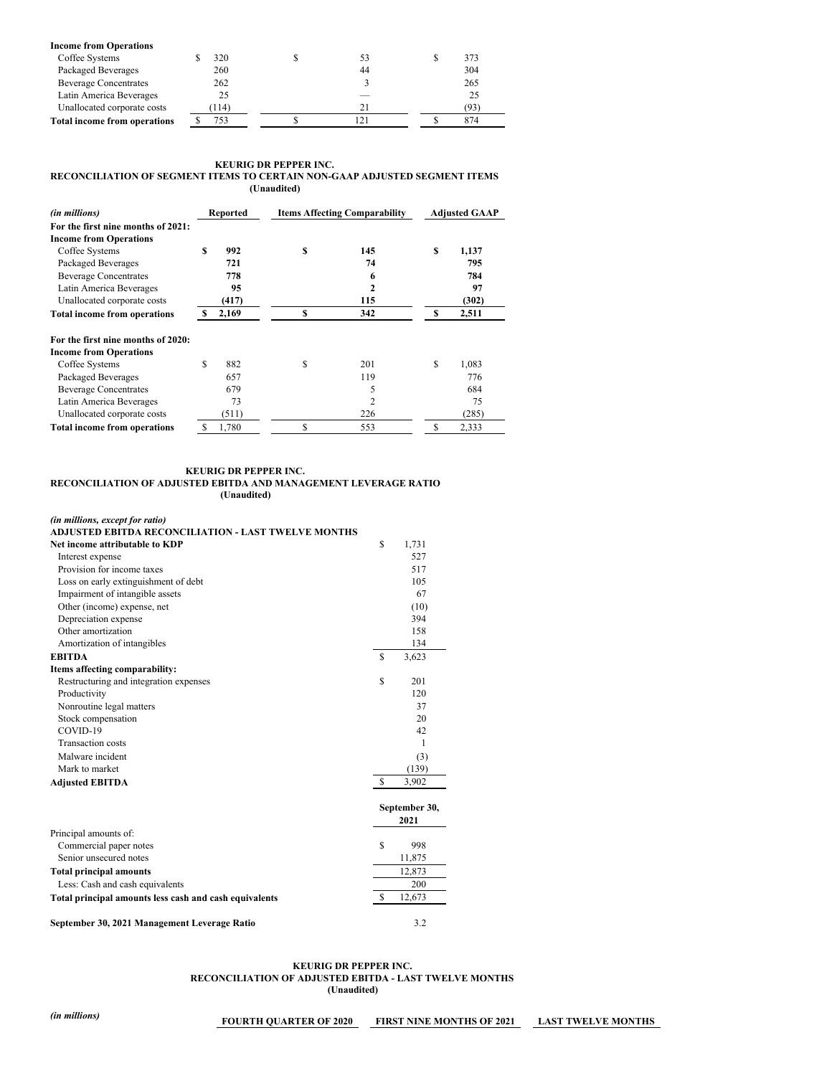| <b>Income from Operations</b>       |       |  |    |  |     |  |
|-------------------------------------|-------|--|----|--|-----|--|
| Coffee Systems                      | 320   |  | 53 |  | 373 |  |
| Packaged Beverages                  | 260   |  | 44 |  | 304 |  |
| <b>Beverage Concentrates</b>        | 262   |  |    |  | 265 |  |
| Latin America Beverages             | 25    |  |    |  | 25  |  |
| Unallocated corporate costs         | (114) |  | 21 |  | 93' |  |
| <b>Total income from operations</b> | 753   |  |    |  | 874 |  |

# **KEURIG DR PEPPER INC. RECONCILIATION OF SEGMENT ITEMS TO CERTAIN NON-GAAP ADJUSTED SEGMENT ITEMS (Unaudited)**

| (in millions)                       |    | Reported |    | <b>Items Affecting Comparability</b> |    | <b>Adjusted GAAP</b> |
|-------------------------------------|----|----------|----|--------------------------------------|----|----------------------|
| For the first nine months of 2021:  |    |          |    |                                      |    |                      |
| <b>Income from Operations</b>       |    |          |    |                                      |    |                      |
| Coffee Systems                      | S  | 992      | S  | 145                                  | S  | 1,137                |
| Packaged Beverages                  |    | 721      |    | 74                                   |    | 795                  |
| <b>Beverage Concentrates</b>        |    | 778      |    | 6                                    |    | 784                  |
| Latin America Beverages             |    | 95       |    | 2                                    |    | 97                   |
| Unallocated corporate costs         |    | (417)    |    | 115                                  |    | (302)                |
| <b>Total income from operations</b> |    | 2,169    | S  | 342                                  | S  | 2,511                |
| For the first nine months of 2020:  |    |          |    |                                      |    |                      |
| <b>Income from Operations</b>       |    |          |    |                                      |    |                      |
| Coffee Systems                      | \$ | 882      | S  | 201                                  | S  | 1,083                |
| Packaged Beverages                  |    | 657      |    | 119                                  |    | 776                  |
| <b>Beverage Concentrates</b>        |    | 679      |    | 5                                    |    | 684                  |
| Latin America Beverages             |    | 73       |    | 2                                    |    | 75                   |
| Unallocated corporate costs         |    | (511)    |    | 226                                  |    | (285)                |
| <b>Total income from operations</b> | S  | 1,780    | \$ | 553                                  | \$ | 2,333                |

#### **KEURIG DR PEPPER INC.**

#### **RECONCILIATION OF ADJUSTED EBITDA AND MANAGEMENT LEVERAGE RATIO (Unaudited)**

*(in millions, except for ratio)*

# **ADJUSTED EBITDA RECONCILIATION - LAST TWELVE MONTHS**

| Net income attributable to KDP                         | S             | 1,731         |
|--------------------------------------------------------|---------------|---------------|
| Interest expense                                       |               | 527           |
| Provision for income taxes                             |               | 517           |
| Loss on early extinguishment of debt                   |               | 105           |
| Impairment of intangible assets                        |               | 67            |
| Other (income) expense, net                            |               | (10)          |
| Depreciation expense                                   |               | 394           |
| Other amortization                                     |               | 158           |
| Amortization of intangibles                            |               | 134           |
| <b>EBITDA</b>                                          | <sup>\$</sup> | 3,623         |
| Items affecting comparability:                         |               |               |
| Restructuring and integration expenses                 | \$            | 201           |
| Productivity                                           |               | 120           |
| Nonroutine legal matters                               |               | 37            |
| Stock compensation                                     |               | 20            |
| COVID-19                                               |               | 42            |
| <b>Transaction</b> costs                               |               | 1             |
| Malware incident                                       |               | (3)           |
| Mark to market                                         |               | (139)         |
| <b>Adjusted EBITDA</b>                                 | <sup>\$</sup> | 3,902         |
|                                                        |               | September 30, |
|                                                        |               | 2021          |
| Principal amounts of:                                  |               |               |
| Commercial paper notes                                 | S             | 998           |
| Senior unsecured notes                                 |               | 11,875        |
| <b>Total principal amounts</b>                         |               | 12,873        |
| Less: Cash and cash equivalents                        |               | 200           |
| Total principal amounts less cash and cash equivalents | S             | 12,673        |
| September 30, 2021 Management Leverage Ratio           |               | 3.2           |

#### **KEURIG DR PEPPER INC. RECONCILIATION OF ADJUSTED EBITDA - LAST TWELVE MONTHS (Unaudited)**

*(in millions)* **FOURTH QUARTER OF <sup>2020</sup> FIRST NINE MONTHS OF <sup>2021</sup> LAST TWELVE MONTHS**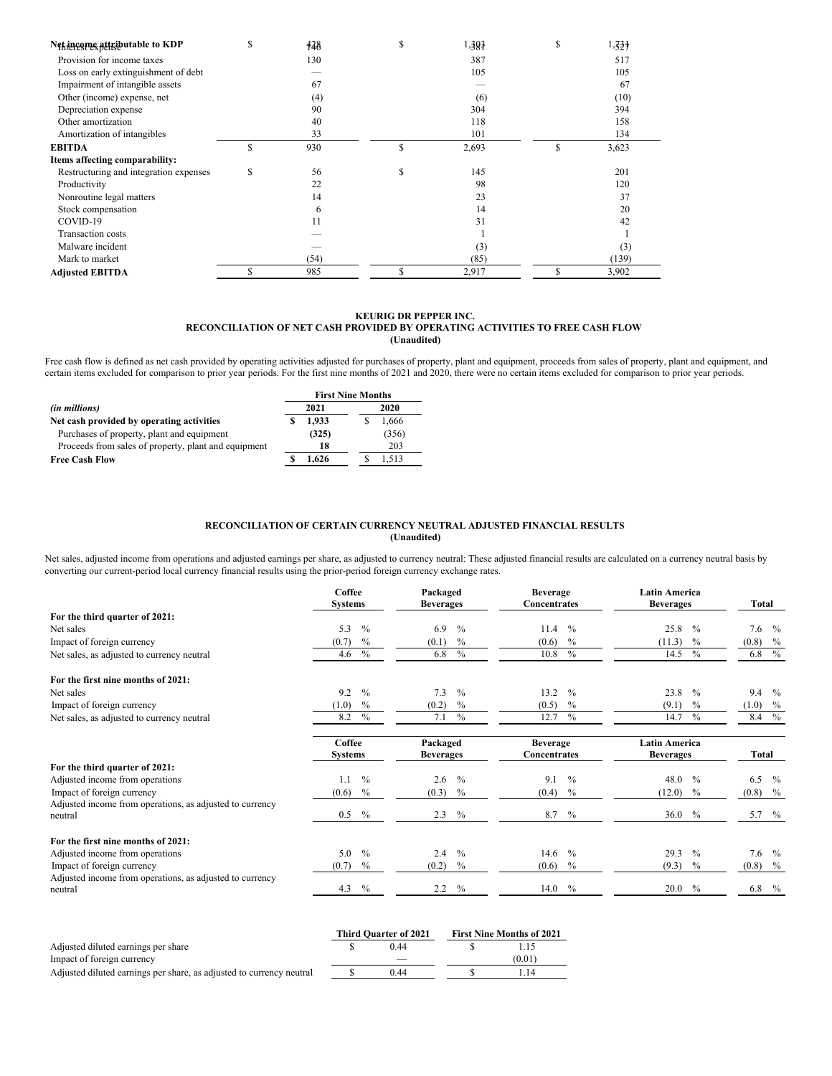| Net income attributable to KDP         | S  | 428  | S | 1,307 | S | $1,33 +$ |  |
|----------------------------------------|----|------|---|-------|---|----------|--|
| Provision for income taxes             |    | 130  |   | 387   |   | 517      |  |
| Loss on early extinguishment of debt   |    |      |   | 105   |   | 105      |  |
| Impairment of intangible assets        |    | 67   |   |       |   | 67       |  |
| Other (income) expense, net            |    | (4)  |   | (6)   |   | (10)     |  |
| Depreciation expense                   |    | 90   |   | 304   |   | 394      |  |
| Other amortization                     |    | 40   |   | 118   |   | 158      |  |
| Amortization of intangibles            |    | 33   |   | 101   |   | 134      |  |
| <b>EBITDA</b>                          | S  | 930  | S | 2,693 | S | 3,623    |  |
| Items affecting comparability:         |    |      |   |       |   |          |  |
| Restructuring and integration expenses | \$ | 56   | S | 145   |   | 201      |  |
| Productivity                           |    | 22   |   | 98    |   | 120      |  |
| Nonroutine legal matters               |    | 14   |   | 23    |   | 37       |  |
| Stock compensation                     |    | 6    |   | 14    |   | 20       |  |
| COVID-19                               |    | 11   |   | 31    |   | 42       |  |
| <b>Transaction costs</b>               |    |      |   |       |   |          |  |
| Malware incident                       |    |      |   | (3)   |   | (3)      |  |
| Mark to market                         |    | (54) |   | (85)  |   | (139)    |  |
| <b>Adjusted EBITDA</b>                 | S  | 985  |   | 2,917 | S | 3,902    |  |

# **KEURIG DR PEPPER INC. RECONCILIATION OF NET CASH PROVIDED BY OPERATING ACTIVITIES TO FREE CASH FLOW (Unaudited)**

Free cash flow is defined as net cash provided by operating activities adjusted for purchases of property, plant and equipment, proceeds from sales of property, plant and equipment, and certain items excluded for comparison to prior year periods. For the first nine months of 2021 and 2020, there were no certain items excluded for comparison to prior year periods.

|                                                      | <b>First Nine Months</b> |       |  |  |  |  |  |  |
|------------------------------------------------------|--------------------------|-------|--|--|--|--|--|--|
| (in millions)                                        | 2021                     | 2020  |  |  |  |  |  |  |
| Net cash provided by operating activities            | 1.933                    | 1.666 |  |  |  |  |  |  |
| Purchases of property, plant and equipment           | (325)                    | (356) |  |  |  |  |  |  |
| Proceeds from sales of property, plant and equipment | 18                       | 203   |  |  |  |  |  |  |
| <b>Free Cash Flow</b>                                | 1.626                    | 1.513 |  |  |  |  |  |  |

# **RECONCILIATION OF CERTAIN CURRENCY NEUTRAL ADJUSTED FINANCIAL RESULTS (Unaudited)**

Net sales, adjusted income from operations and adjusted earnings per share, as adjusted to currency neutral: These adjusted financial results are calculated on a currency neutral basis by converting our current-period local currency financial results using the prior-period foreign currency exchange rates.

|                                                                     | Coffee<br><b>Systems</b> | Packaged<br><b>Beverages</b> | <b>Beverage</b><br><b>Concentrates</b> | <b>Latin America</b><br><b>Beverages</b> | Total                |
|---------------------------------------------------------------------|--------------------------|------------------------------|----------------------------------------|------------------------------------------|----------------------|
| For the third quarter of 2021:                                      |                          |                              |                                        |                                          |                      |
| Net sales                                                           | 5.3<br>$\%$              | 6.9<br>$\frac{0}{0}$         | $\frac{0}{0}$<br>11.4                  | 25.8<br>$\frac{0}{0}$                    | 7.6<br>$\%$          |
| Impact of foreign currency                                          | (0.7)<br>$\%$            | (0.1)<br>$\%$                | (0.6)<br>$\frac{0}{0}$                 | (11.3)<br>$\frac{0}{0}$                  | (0.8)<br>$\%$        |
| Net sales, as adjusted to currency neutral                          | $\%$<br>4.6              | $\frac{0}{0}$<br>6.8         | $\%$<br>10.8                           | $\frac{0}{0}$<br>14.5                    | $\%$<br>6.8          |
| For the first nine months of 2021:                                  |                          |                              |                                        |                                          |                      |
| Net sales                                                           | 9.2<br>$\frac{0}{0}$     | 7.3<br>$\frac{0}{0}$         | 13.2<br>$\frac{0}{0}$                  | 23.8<br>$\frac{0}{0}$                    | 9.4<br>$\frac{0}{0}$ |
| Impact of foreign currency                                          | (1.0)<br>$\%$            | $\%$<br>(0.2)                | $\frac{0}{0}$<br>(0.5)                 | (9.1)<br>$\frac{0}{0}$                   | (1.0)<br>$\%$        |
| Net sales, as adjusted to currency neutral                          | $\frac{0}{0}$<br>8.2     | $\frac{0}{0}$<br>7.1         | 12.7<br>$\frac{0}{0}$                  | $\frac{0}{0}$<br>14.7                    | $\%$<br>8.4          |
|                                                                     | Coffee                   | Packaged                     | <b>Beverage</b>                        | <b>Latin America</b>                     |                      |
|                                                                     | <b>Systems</b>           | <b>Beverages</b>             | Concentrates                           | <b>Beverages</b>                         | Total                |
| For the third quarter of 2021:                                      |                          |                              |                                        |                                          |                      |
| Adjusted income from operations                                     | $\frac{0}{0}$<br>1.1     | $\frac{0}{0}$<br>2.6         | 9.1<br>$\frac{0}{0}$                   | $\frac{0}{0}$<br>48.0                    | 6.5<br>$\frac{0}{0}$ |
| Impact of foreign currency                                          | $\%$<br>(0.6)            | (0.3)<br>$\%$                | (0.4)<br>$\%$                          | (12.0)<br>$\%$                           | $(0.8)$ %            |
| Adjusted income from operations, as adjusted to currency<br>neutral | $\%$<br>$0.5^{\circ}$    | 2.3<br>$\%$                  | 8.7<br>$\%$                            | 36.0<br>$\%$                             | 5.7 $%$              |
| For the first nine months of 2021:                                  |                          |                              |                                        |                                          |                      |
| Adjusted income from operations                                     | $\frac{0}{0}$<br>5.0     | 2.4<br>$\frac{0}{0}$         | $\frac{0}{0}$<br>14.6                  | 29.3<br>$\frac{0}{0}$                    | 7.6<br>$\frac{0}{0}$ |
| Impact of foreign currency                                          | (0.7)<br>$\%$            | (0.2)<br>$\%$                | (0.6)<br>$\%$                          | (9.3)<br>$\frac{0}{0}$                   | $(0.8)$ %            |
| Adjusted income from operations, as adjusted to currency            |                          |                              |                                        |                                          |                      |
| neutral                                                             | 4.3<br>$\frac{0}{0}$     | 2.2<br>$\frac{0}{0}$         | 14.0<br>$\frac{0}{0}$                  | 20.0<br>$\frac{0}{0}$                    | 6.8<br>$\%$          |

|                                                                      | <b>Third Quarter of 2021</b> | <b>First Nine Months of 2021</b> |
|----------------------------------------------------------------------|------------------------------|----------------------------------|
| Adjusted diluted earnings per share                                  | 0.44                         | .15                              |
| Impact of foreign currency                                           |                              | (0.01)                           |
| Adjusted diluted earnings per share, as adjusted to currency neutral | 0.44                         | -14                              |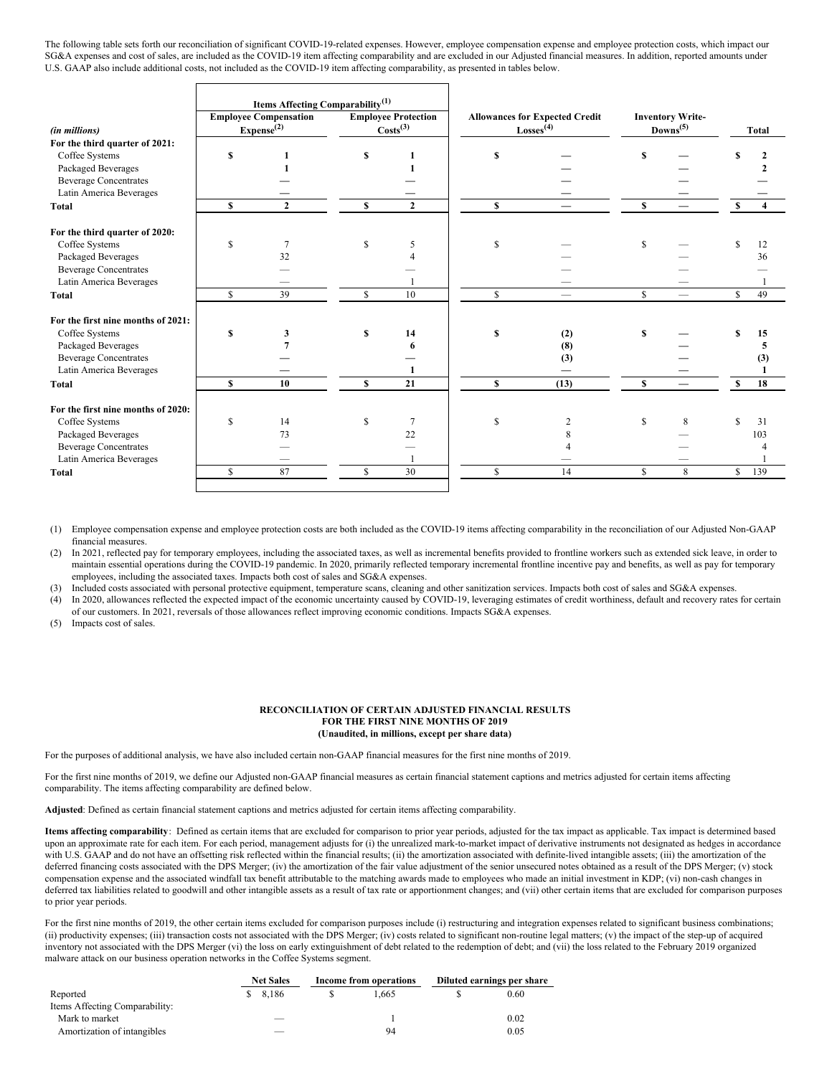The following table sets forth our reconciliation of significant COVID-19-related expenses. However, employee compensation expense and employee protection costs, which impact our SG&A expenses and cost of sales, are included as the COVID-19 item affecting comparability and are excluded in our Adjusted financial measures. In addition, reported amounts under U.S. GAAP also include additional costs, not included as the COVID-19 item affecting comparability, as presented in tables below.

|                                    | Items Affecting Comparability <sup>(1)</sup> |                                                        |    |                                                    |    |                                                                |             |                                                 |              |                         |
|------------------------------------|----------------------------------------------|--------------------------------------------------------|----|----------------------------------------------------|----|----------------------------------------------------------------|-------------|-------------------------------------------------|--------------|-------------------------|
| (in millions)                      |                                              | <b>Employee Compensation</b><br>Expense <sup>(2)</sup> |    | <b>Employee Protection</b><br>Costs <sup>(3)</sup> |    | <b>Allowances for Expected Credit</b><br>Losses <sup>(4)</sup> |             | <b>Inventory Write-</b><br>Downs <sup>(5)</sup> |              | <b>Total</b>            |
| For the third quarter of 2021:     |                                              |                                                        |    |                                                    |    |                                                                |             |                                                 |              |                         |
| Coffee Systems                     | \$                                           |                                                        | \$ |                                                    | S  |                                                                | S           |                                                 |              |                         |
| Packaged Beverages                 |                                              |                                                        |    |                                                    |    |                                                                |             |                                                 |              |                         |
| <b>Beverage Concentrates</b>       |                                              |                                                        |    |                                                    |    |                                                                |             |                                                 |              |                         |
| Latin America Beverages            |                                              |                                                        |    |                                                    |    |                                                                |             |                                                 |              |                         |
| <b>Total</b>                       | \$                                           | $\overline{2}$                                         | S  | $\overline{2}$                                     | \$ |                                                                | $\mathbf S$ |                                                 | \$           | $\overline{\mathbf{4}}$ |
| For the third quarter of 2020:     |                                              |                                                        |    |                                                    |    |                                                                |             |                                                 |              |                         |
| Coffee Systems                     | \$                                           | 7                                                      | \$ | 5                                                  | \$ |                                                                | -S          |                                                 |              | 12                      |
| Packaged Beverages                 |                                              | 32                                                     |    |                                                    |    |                                                                |             |                                                 |              | 36                      |
| <b>Beverage Concentrates</b>       |                                              |                                                        |    |                                                    |    |                                                                |             |                                                 |              |                         |
| Latin America Beverages            |                                              |                                                        |    |                                                    |    |                                                                |             |                                                 |              |                         |
| <b>Total</b>                       | \$                                           | 39                                                     | \$ | 10                                                 | \$ |                                                                | $\mathbf S$ |                                                 | S            | 49                      |
| For the first nine months of 2021: |                                              |                                                        |    |                                                    |    |                                                                |             |                                                 |              |                         |
| Coffee Systems                     | S                                            | 3                                                      | S  | 14                                                 | S  | (2)                                                            | S           |                                                 |              | 15                      |
| Packaged Beverages                 |                                              |                                                        |    | 6                                                  |    | (8)                                                            |             |                                                 |              | 5                       |
| <b>Beverage Concentrates</b>       |                                              |                                                        |    |                                                    |    | (3)                                                            |             |                                                 |              | (3)                     |
| Latin America Beverages            |                                              |                                                        |    |                                                    |    |                                                                |             |                                                 |              |                         |
| <b>Total</b>                       | S                                            | 10                                                     | S  | 21                                                 | \$ | (13)                                                           | S           |                                                 | S            | 18                      |
| For the first nine months of 2020: |                                              |                                                        |    |                                                    |    |                                                                |             |                                                 |              |                         |
| Coffee Systems                     | \$                                           | 14                                                     | S  | $\overline{7}$                                     | S  | $\overline{2}$                                                 | S           | 8                                               |              | 31                      |
| Packaged Beverages                 |                                              | 73                                                     |    | 22                                                 |    | 8                                                              |             |                                                 |              | 103                     |
| <b>Beverage Concentrates</b>       |                                              |                                                        |    |                                                    |    |                                                                |             |                                                 |              |                         |
| Latin America Beverages            |                                              |                                                        |    |                                                    |    |                                                                |             |                                                 |              |                         |
| <b>Total</b>                       | \$                                           | 87                                                     | \$ | 30                                                 | \$ | 14                                                             | S           | 8                                               | $\mathbb{S}$ | 139                     |
|                                    |                                              |                                                        |    |                                                    |    |                                                                |             |                                                 |              |                         |

(1) Employee compensation expense and employee protection costs are both included as the COVID-19 items affecting comparability in the reconciliation of our Adjusted Non-GAAP financial measures.

(2) In 2021, reflected pay for temporary employees, including the associated taxes, as well as incremental benefits provided to frontline workers such as extended sick leave, in order to maintain essential operations during the COVID-19 pandemic. In 2020, primarily reflected temporary incremental frontline incentive pay and benefits, as well as pay for temporary employees, including the associated taxes. Impacts both cost of sales and SG&A expenses.

(3) Included costs associated with personal protective equipment, temperature scans, cleaning and other sanitization services. Impacts both cost of sales and SG&A expenses.

(4) In 2020, allowances reflected the expected impact of the economic uncertainty caused by COVID-19, leveraging estimates of credit worthiness, default and recovery rates for certain of our customers. In 2021, reversals of those allowances reflect improving economic conditions. Impacts SG&A expenses.

(5) Impacts cost of sales.

# **RECONCILIATION OF CERTAIN ADJUSTED FINANCIAL RESULTS FOR THE FIRST NINE MONTHS OF 2019 (Unaudited, in millions, except per share data)**

For the purposes of additional analysis, we have also included certain non-GAAP financial measures for the first nine months of 2019.

For the first nine months of 2019, we define our Adjusted non-GAAP financial measures as certain financial statement captions and metrics adjusted for certain items affecting comparability. The items affecting comparability are defined below.

**Adjusted**: Defined as certain financial statement captions and metrics adjusted for certain items affecting comparability.

**Items affecting comparability**: Defined as certain items that are excluded for comparison to prior year periods, adjusted for the tax impact as applicable. Tax impact is determined based upon an approximate rate for each item. For each period, management adjusts for (i) the unrealized mark-to-market impact of derivative instruments not designated as hedges in accordance with U.S. GAAP and do not have an offsetting risk reflected within the financial results; (ii) the amortization associated with definite-lived intangible assets; (iii) the amortization of the deferred financing costs associated with the DPS Merger; (iv) the amortization of the fair value adjustment of the senior unsecured notes obtained as a result of the DPS Merger; (v) stock compensation expense and the associated windfall tax benefit attributable to the matching awards made to employees who made an initial investment in KDP; (vi) non-cash changes in deferred tax liabilities related to goodwill and other intangible assets as a result of tax rate or apportionment changes; and (vii) other certain items that are excluded for comparison purposes to prior year periods.

For the first nine months of 2019, the other certain items excluded for comparison purposes include (i) restructuring and integration expenses related to significant business combinations; (ii) productivity expenses; (iii) transaction costs not associated with the DPS Merger; (iv) costs related to significant non-routine legal matters; (v) the impact of the step-up of acquired inventory not associated with the DPS Merger (vi) the loss on early extinguishment of debt related to the redemption of debt; and (vii) the loss related to the February 2019 organized malware attack on our business operation networks in the Coffee Systems segment.

|                                | <b>Net Sales</b> | Income from operations |       | Diluted earnings per share |      |
|--------------------------------|------------------|------------------------|-------|----------------------------|------|
| Reported                       | 8.186            |                        | 1.665 |                            | 0.60 |
| Items Affecting Comparability: |                  |                        |       |                            |      |
| Mark to market                 |                  |                        |       |                            | 0.02 |
| Amortization of intangibles    |                  |                        | 94    |                            | 0.05 |